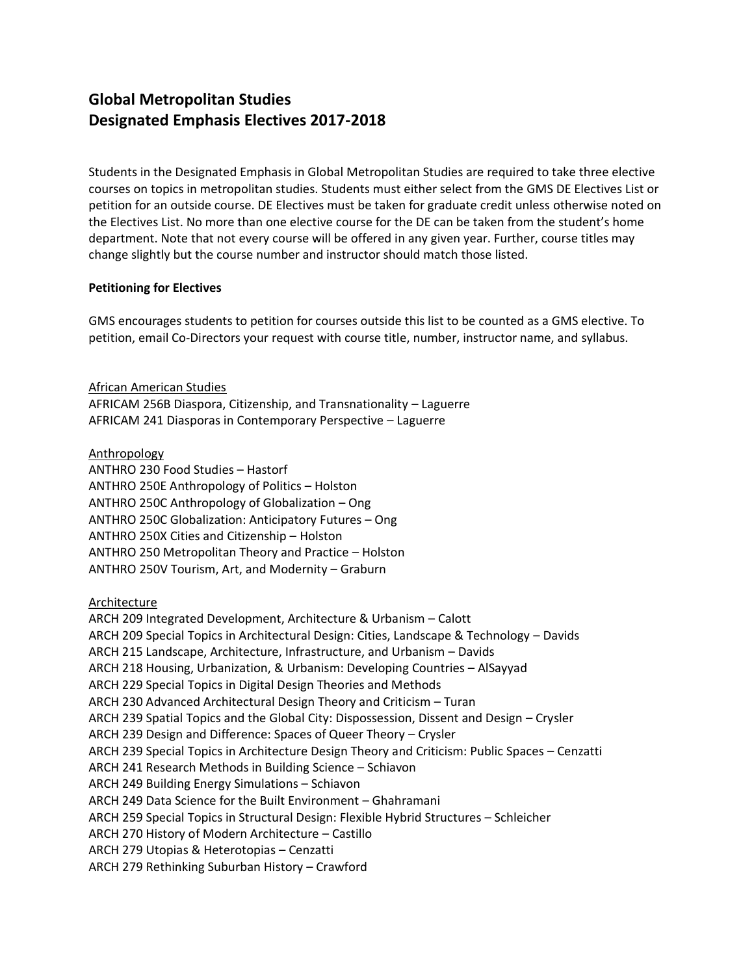# **Global Metropolitan Studies Designated Emphasis Electives 2017-2018**

Students in the Designated Emphasis in Global Metropolitan Studies are required to take three elective courses on topics in metropolitan studies. Students must either select from the GMS DE Electives List or petition for an outside course. DE Electives must be taken for graduate credit unless otherwise noted on the Electives List. No more than one elective course for the DE can be taken from the student's home department. Note that not every course will be offered in any given year. Further, course titles may change slightly but the course number and instructor should match those listed.

### **Petitioning for Electives**

GMS encourages students to petition for courses outside this list to be counted as a GMS elective. To petition, email Co-Directors your request with course title, number, instructor name, and syllabus.

African American Studies AFRICAM 256B Diaspora, Citizenship, and Transnationality – Laguerre AFRICAM 241 Diasporas in Contemporary Perspective – Laguerre

Anthropology

ANTHRO 230 Food Studies – Hastorf ANTHRO 250E Anthropology of Politics – Holston ANTHRO 250C Anthropology of Globalization – Ong ANTHRO 250C Globalization: Anticipatory Futures – Ong ANTHRO 250X Cities and Citizenship – Holston ANTHRO 250 Metropolitan Theory and Practice – Holston ANTHRO 250V Tourism, Art, and Modernity – Graburn

**Architecture** 

ARCH 209 Integrated Development, Architecture & Urbanism – Calott ARCH 209 Special Topics in Architectural Design: Cities, Landscape & Technology – Davids ARCH 215 Landscape, Architecture, Infrastructure, and Urbanism – Davids ARCH 218 Housing, Urbanization, & Urbanism: Developing Countries – AlSayyad ARCH 229 Special Topics in Digital Design Theories and Methods ARCH 230 Advanced Architectural Design Theory and Criticism – Turan ARCH 239 Spatial Topics and the Global City: Dispossession, Dissent and Design – Crysler ARCH 239 Design and Difference: Spaces of Queer Theory – Crysler ARCH 239 Special Topics in Architecture Design Theory and Criticism: Public Spaces – Cenzatti ARCH 241 Research Methods in Building Science – Schiavon ARCH 249 Building Energy Simulations – Schiavon ARCH 249 Data Science for the Built Environment – Ghahramani ARCH 259 Special Topics in Structural Design: Flexible Hybrid Structures – Schleicher ARCH 270 History of Modern Architecture – Castillo ARCH 279 Utopias & Heterotopias – Cenzatti ARCH 279 Rethinking Suburban History – Crawford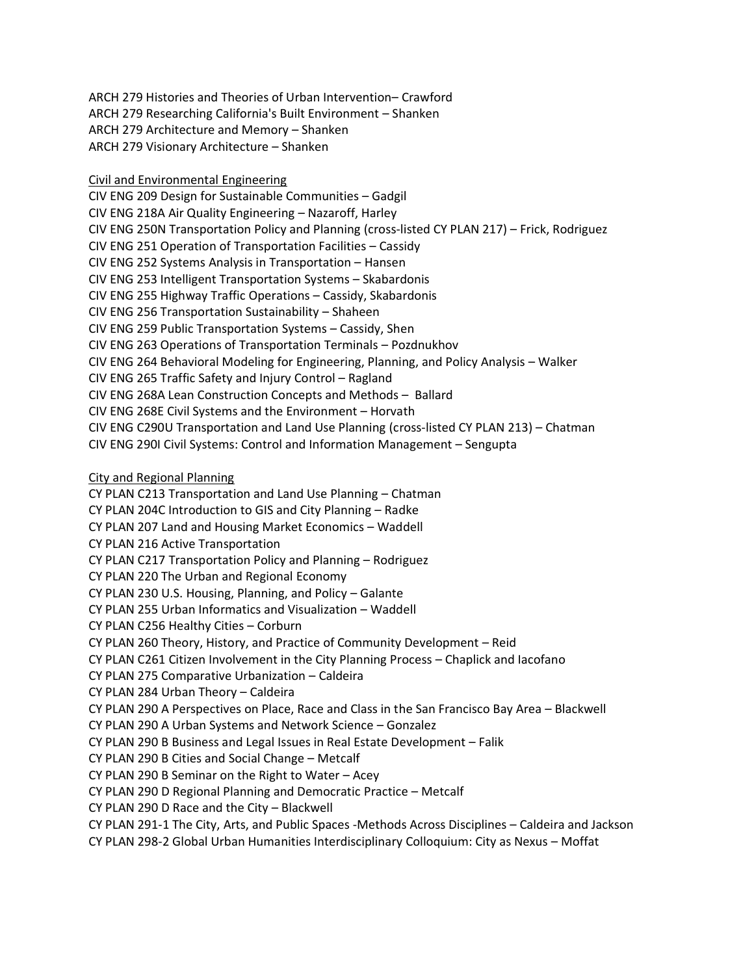ARCH 279 Histories and Theories of Urban Intervention– Crawford ARCH 279 Researching California's Built Environment – Shanken ARCH 279 Architecture and Memory – Shanken ARCH 279 Visionary Architecture – Shanken

Civil and Environmental Engineering

CIV ENG 209 Design for Sustainable Communities – Gadgil CIV ENG 218A Air Quality Engineering – Nazaroff, Harley CIV ENG 250N Transportation Policy and Planning (cross-listed CY PLAN 217) – Frick, Rodriguez CIV ENG 251 Operation of Transportation Facilities – Cassidy CIV ENG 252 Systems Analysis in Transportation – Hansen CIV ENG 253 Intelligent Transportation Systems – Skabardonis CIV ENG 255 Highway Traffic Operations – Cassidy, Skabardonis CIV ENG 256 Transportation Sustainability – Shaheen CIV ENG 259 Public Transportation Systems – Cassidy, Shen CIV ENG 263 Operations of Transportation Terminals – Pozdnukhov CIV ENG 264 Behavioral Modeling for Engineering, Planning, and Policy Analysis – Walker CIV ENG 265 Traffic Safety and Injury Control – Ragland CIV ENG 268A Lean Construction Concepts and Methods – Ballard CIV ENG 268E Civil Systems and the Environment – Horvath CIV ENG C290U Transportation and Land Use Planning (cross-listed CY PLAN 213) – Chatman CIV ENG 290I Civil Systems: Control and Information Management – Sengupta

## City and Regional Planning

CY PLAN C213 Transportation and Land Use Planning – Chatman CY PLAN 204C Introduction to GIS and City Planning – Radke CY PLAN 207 Land and Housing Market Economics – Waddell CY PLAN 216 Active Transportation CY PLAN C217 Transportation Policy and Planning – Rodriguez CY PLAN 220 The Urban and Regional Economy CY PLAN 230 U.S. Housing, Planning, and Policy – Galante CY PLAN 255 Urban Informatics and Visualization – Waddell CY PLAN C256 Healthy Cities – Corburn CY PLAN 260 Theory, History, and Practice of Community Development – Reid CY PLAN C261 Citizen Involvement in the City Planning Process – Chaplick and Iacofano CY PLAN 275 Comparative Urbanization – Caldeira CY PLAN 284 Urban Theory – Caldeira CY PLAN 290 A Perspectives on Place, Race and Class in the San Francisco Bay Area – Blackwell CY PLAN 290 A Urban Systems and Network Science – Gonzalez CY PLAN 290 B Business and Legal Issues in Real Estate Development – Falik CY PLAN 290 B Cities and Social Change – Metcalf CY PLAN 290 B Seminar on the Right to Water – Acey CY PLAN 290 D Regional Planning and Democratic Practice – Metcalf CY PLAN 290 D Race and the City – Blackwell CY PLAN 291-1 The City, Arts, and Public Spaces -Methods Across Disciplines – Caldeira and Jackson CY PLAN 298-2 Global Urban Humanities Interdisciplinary Colloquium: City as Nexus – Moffat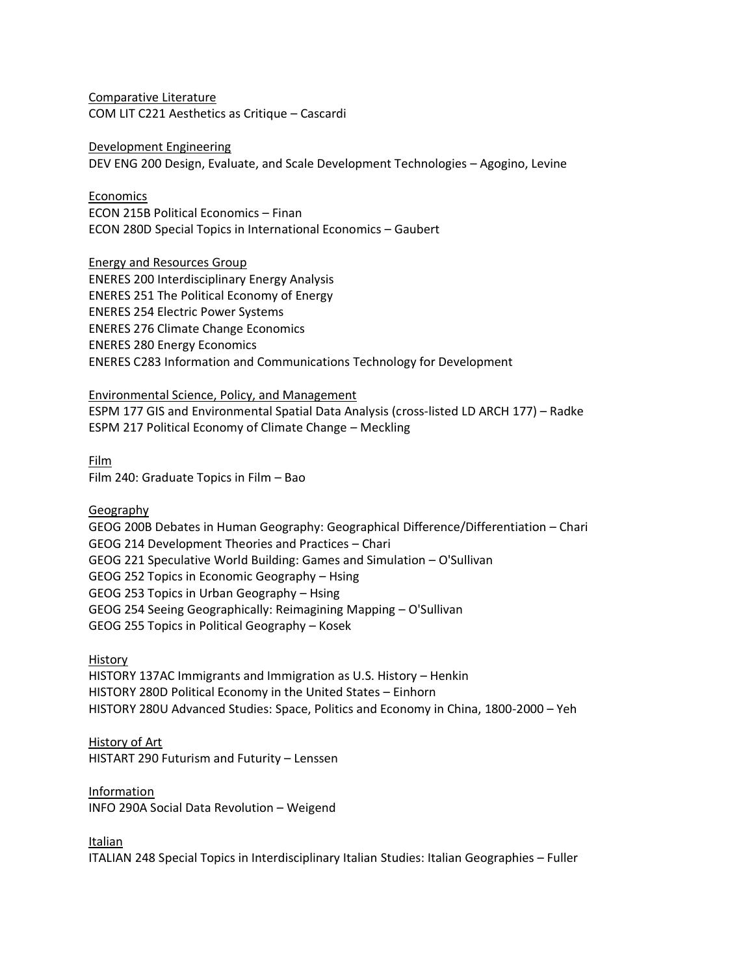Comparative Literature COM LIT C221 Aesthetics as Critique – Cascardi

Development Engineering DEV ENG 200 Design, Evaluate, and Scale Development Technologies – Agogino, Levine

Economics ECON 215B Political Economics – Finan ECON 280D Special Topics in International Economics – Gaubert

Energy and Resources Group ENERES 200 Interdisciplinary Energy Analysis ENERES 251 The Political Economy of Energy ENERES 254 Electric Power Systems ENERES 276 Climate Change Economics ENERES 280 Energy Economics ENERES C283 Information and Communications Technology for Development

Environmental Science, Policy, and Management ESPM 177 GIS and Environmental Spatial Data Analysis (cross-listed LD ARCH 177) – Radke ESPM 217 Political Economy of Climate Change – Meckling

Film Film 240: Graduate Topics in Film – Bao

Geography

GEOG 200B Debates in Human Geography: Geographical Difference/Differentiation – Chari GEOG 214 Development Theories and Practices – Chari GEOG 221 Speculative World Building: Games and Simulation – O'Sullivan GEOG 252 Topics in Economic Geography – Hsing GEOG 253 Topics in Urban Geography – Hsing GEOG 254 Seeing Geographically: Reimagining Mapping – O'Sullivan GEOG 255 Topics in Political Geography – Kosek

History

HISTORY 137AC Immigrants and Immigration as U.S. History – Henkin HISTORY 280D Political Economy in the United States – Einhorn HISTORY 280U Advanced Studies: Space, Politics and Economy in China, 1800-2000 – Yeh

History of Art

HISTART 290 Futurism and Futurity – Lenssen

Information

INFO 290A Social Data Revolution – Weigend

Italian

ITALIAN 248 Special Topics in Interdisciplinary Italian Studies: Italian Geographies – Fuller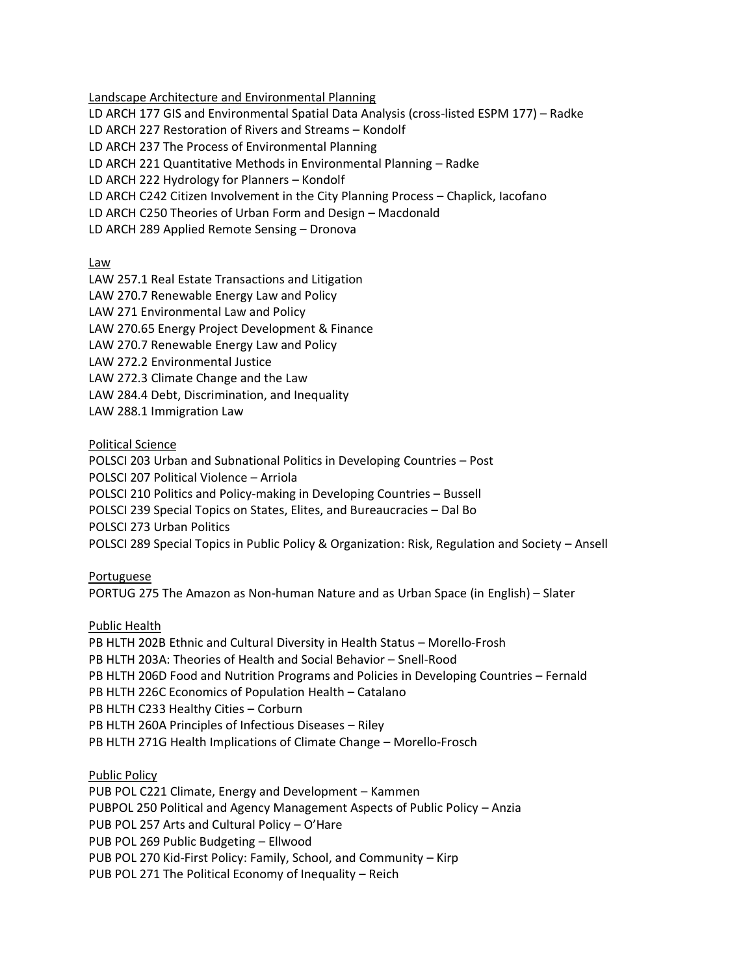Landscape Architecture and Environmental Planning

LD ARCH 177 GIS and Environmental Spatial Data Analysis (cross-listed ESPM 177) – Radke

LD ARCH 227 Restoration of Rivers and Streams – Kondolf

LD ARCH 237 The Process of Environmental Planning

LD ARCH 221 Quantitative Methods in Environmental Planning – Radke

LD ARCH 222 Hydrology for Planners – Kondolf

LD ARCH C242 Citizen Involvement in the City Planning Process – Chaplick, Iacofano

LD ARCH C250 Theories of Urban Form and Design – Macdonald

LD ARCH 289 Applied Remote Sensing – Dronova

Law

LAW 257.1 Real Estate Transactions and Litigation LAW 270.7 Renewable Energy Law and Policy LAW 271 Environmental Law and Policy LAW 270.65 Energy Project Development & Finance LAW 270.7 Renewable Energy Law and Policy LAW 272.2 Environmental Justice LAW 272.3 Climate Change and the Law LAW 284.4 Debt, Discrimination, and Inequality LAW 288.1 Immigration Law

Political Science

POLSCI 203 Urban and Subnational Politics in Developing Countries – Post POLSCI 207 Political Violence – Arriola POLSCI 210 Politics and Policy-making in Developing Countries – Bussell POLSCI 239 Special Topics on States, Elites, and Bureaucracies – Dal Bo POLSCI 273 Urban Politics POLSCI 289 Special Topics in Public Policy & Organization: Risk, Regulation and Society – Ansell

Portuguese

PORTUG 275 The Amazon as Non-human Nature and as Urban Space (in English) – Slater

Public Health

PB HLTH 202B Ethnic and Cultural Diversity in Health Status – Morello-Frosh PB HLTH 203A: Theories of Health and Social Behavior – Snell-Rood PB HLTH 206D Food and Nutrition Programs and Policies in Developing Countries – Fernald PB HLTH 226C Economics of Population Health – Catalano PB HLTH C233 Healthy Cities – Corburn PB HLTH 260A Principles of Infectious Diseases – Riley PB HLTH 271G Health Implications of Climate Change – Morello-Frosch

Public Policy

PUB POL C221 Climate, Energy and Development – Kammen PUBPOL 250 Political and Agency Management Aspects of Public Policy – Anzia PUB POL 257 Arts and Cultural Policy – O'Hare PUB POL 269 Public Budgeting – Ellwood PUB POL 270 Kid-First Policy: Family, School, and Community – Kirp PUB POL 271 The Political Economy of Inequality – Reich